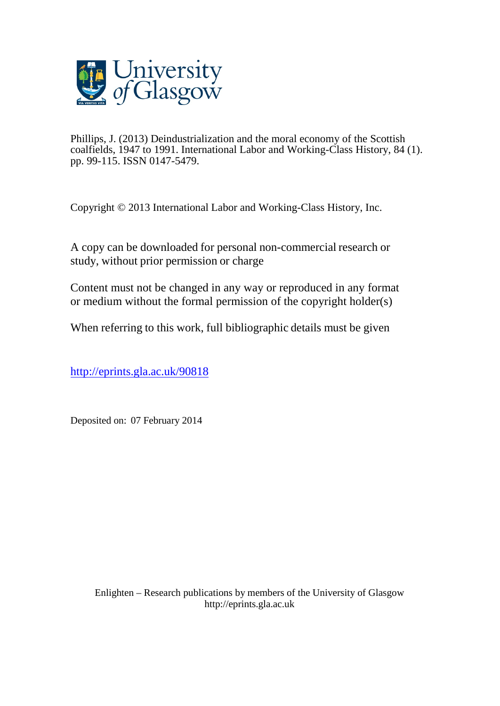

Phillips, J. (2013) Deindustrialization and the moral economy of the Scottish coalfields, 1947 to 1991. International Labor and Working-Class History, 84 (1). pp. 99-115. ISSN 0147-5479.

Copyright © 2013 International Labor and Working-Class History, Inc.

A copy can be downloaded for personal non-commercial research or study, without prior permission or charge

Content must not be changed in any way or reproduced in any format or medium without the formal permission of the copyright holder(s)

When referring to this work, full bibliographic details must be given

<http://eprints.gla.ac.uk/90818>

Deposited on: 07 February 2014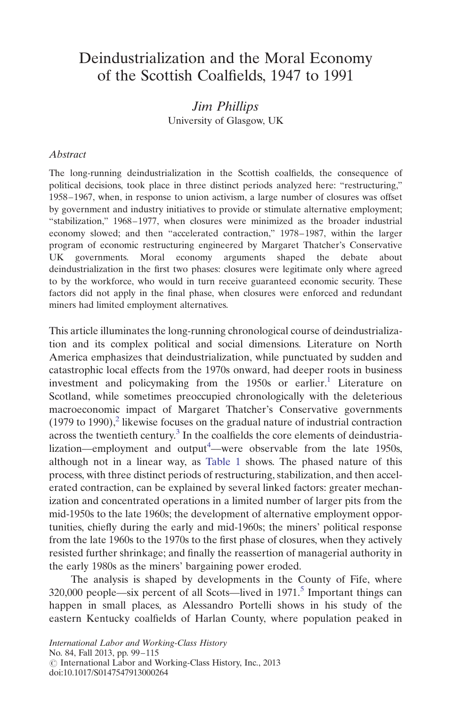# Deindustrialization and the Moral Economy of the Scottish Coalfields, 1947 to 1991

# Jim Phillips University of Glasgow, UK

# Abstract

The long-running deindustrialization in the Scottish coalfields, the consequence of political decisions, took place in three distinct periods analyzed here: "restructuring," 1958 –1967, when, in response to union activism, a large number of closures was offset by government and industry initiatives to provide or stimulate alternative employment; "stabilization," 1968-1977, when closures were minimized as the broader industrial economy slowed; and then "accelerated contraction," 1978– 1987, within the larger program of economic restructuring engineered by Margaret Thatcher's Conservative UK governments. Moral economy arguments shaped the debate about deindustrialization in the first two phases: closures were legitimate only where agreed to by the workforce, who would in turn receive guaranteed economic security. These factors did not apply in the final phase, when closures were enforced and redundant miners had limited employment alternatives.

This article illuminates the long-running chronological course of deindustrialization and its complex political and social dimensions. Literature on North America emphasizes that deindustrialization, while punctuated by sudden and catastrophic local effects from the 1970s onward, had deeper roots in business investment and policymaking from the [1](#page-14-0)950s or earlier.<sup>1</sup> Literature on Scotland, while sometimes preoccupied chronologically with the deleterious macroeconomic impact of Margaret Thatcher's Conservative governments  $(1979 \text{ to } 1990)$ <sup>[2](#page-14-0)</sup> likewise focuses on the gradual nature of industrial contraction across the twentieth century.<sup>[3](#page-14-0)</sup> In the coalfields the core elements of deindustria-lization—employment and output<sup>[4](#page-14-0)</sup>—were observable from the late 1950s, although not in a linear way, as [Table 1](#page-2-0) shows. The phased nature of this process, with three distinct periods of restructuring, stabilization, and then accelerated contraction, can be explained by several linked factors: greater mechanization and concentrated operations in a limited number of larger pits from the mid-1950s to the late 1960s; the development of alternative employment opportunities, chiefly during the early and mid-1960s; the miners' political response from the late 1960s to the 1970s to the first phase of closures, when they actively resisted further shrinkage; and finally the reassertion of managerial authority in the early 1980s as the miners' bargaining power eroded.

The analysis is shaped by developments in the County of Fife, where 320,000 people—six percent of all Scots—lived in  $1971<sup>5</sup>$  $1971<sup>5</sup>$  $1971<sup>5</sup>$  Important things can happen in small places, as Alessandro Portelli shows in his study of the eastern Kentucky coalfields of Harlan County, where population peaked in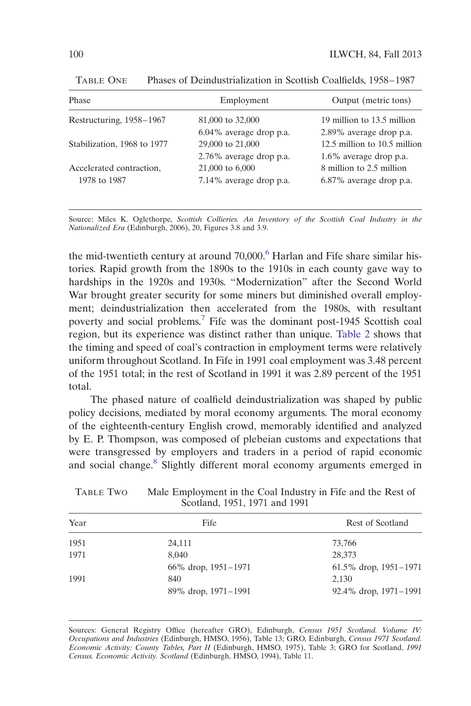| Phase                       | Employment              | Output (metric tons)         |  |
|-----------------------------|-------------------------|------------------------------|--|
| Restructuring, 1958–1967    | 81,000 to 32,000        | 19 million to 13.5 million   |  |
|                             | 6.04% average drop p.a. | 2.89% average drop p.a.      |  |
| Stabilization, 1968 to 1977 | 29,000 to 21,000        | 12.5 million to 10.5 million |  |
|                             | 2.76% average drop p.a. | 1.6% average drop p.a.       |  |
| Accelerated contraction,    | 21,000 to 6,000         | 8 million to 2.5 million     |  |
| 1978 to 1987                | 7.14% average drop p.a. | 6.87% average drop p.a.      |  |
|                             |                         |                              |  |

<span id="page-2-0"></span>TABLE ONE Phases of Deindustrialization in Scottish Coalfields, 1958–1987

Source: Miles K. Oglethorpe, Scottish Collieries. An Inventory of the Scottish Coal Industry in the Nationalized Era (Edinburgh, 2006), 20, Figures 3.8 and 3.9.

the mid-twentieth century at around  $70,000$ .<sup>6</sup> Harlan and Fife share similar histories. Rapid growth from the 1890s to the 1910s in each county gave way to hardships in the 1920s and 1930s. "Modernization" after the Second World War brought greater security for some miners but diminished overall employment; deindustrialization then accelerated from the 1980s, with resultant poverty and social problems.[7](#page-15-0) Fife was the dominant post-1945 Scottish coal region, but its experience was distinct rather than unique. Table 2 shows that the timing and speed of coal's contraction in employment terms were relatively uniform throughout Scotland. In Fife in 1991 coal employment was 3.48 percent of the 1951 total; in the rest of Scotland in 1991 it was 2.89 percent of the 1951 total.

The phased nature of coalfield deindustrialization was shaped by public policy decisions, mediated by moral economy arguments. The moral economy of the eighteenth-century English crowd, memorably identified and analyzed by E. P. Thompson, was composed of plebeian customs and expectations that were transgressed by employers and traders in a period of rapid economic and social change.<sup>[8](#page-15-0)</sup> Slightly different moral economy arguments emerged in

| Year | Fife                | Rest of Scotland      |
|------|---------------------|-----------------------|
| 1951 | 24,111              | 73,766                |
| 1971 | 8.040               | 28.373                |
|      | 66% drop, 1951-1971 | 61.5% drop, 1951-1971 |
| 1991 | 840                 | 2.130                 |
|      | 89% drop, 1971–1991 | 92.4% drop, 1971-1991 |

TABLE TWO Male Employment in the Coal Industry in Fife and the Rest of Scotland, 1951, 1971 and 1991

Sources: General Registry Office (hereafter GRO), Edinburgh, Census 1951 Scotland. Volume IV: Occupations and Industries (Edinburgh, HMSO, 1956), Table 13; GRO, Edinburgh, Census 1971 Scotland. Economic Activity: County Tables, Part II (Edinburgh, HMSO, 1975), Table 3; GRO for Scotland, 1991 Census. Economic Activity. Scotland (Edinburgh, HMSO, 1994), Table 11.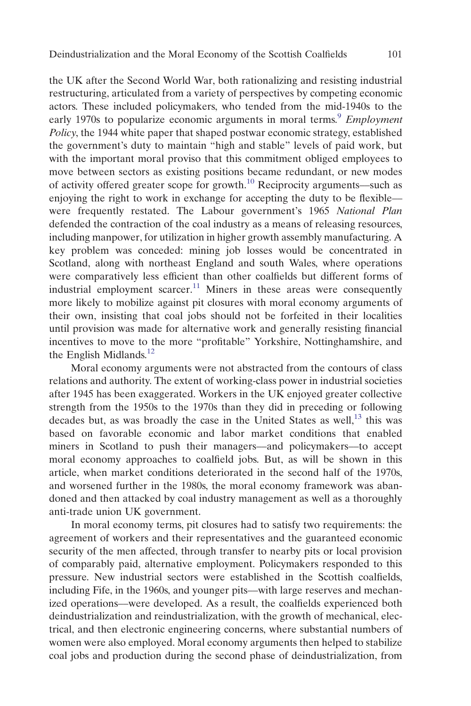the UK after the Second World War, both rationalizing and resisting industrial restructuring, articulated from a variety of perspectives by competing economic actors. These included policymakers, who tended from the mid-1940s to the early 1970s to popularize economic arguments in moral terms.<sup>9</sup> Employment Policy, the 1944 white paper that shaped postwar economic strategy, established the government's duty to maintain "high and stable" levels of paid work, but with the important moral proviso that this commitment obliged employees to move between sectors as existing positions became redundant, or new modes of activity offered greater scope for growth.<sup>10</sup> Reciprocity arguments—such as enjoying the right to work in exchange for accepting the duty to be flexible–– were frequently restated. The Labour government's 1965 National Plan defended the contraction of the coal industry as a means of releasing resources, including manpower, for utilization in higher growth assembly manufacturing. A key problem was conceded: mining job losses would be concentrated in Scotland, along with northeast England and south Wales, where operations were comparatively less efficient than other coalfields but different forms of industrial employment scarcer.<sup>[11](#page-15-0)</sup> Miners in these areas were consequently more likely to mobilize against pit closures with moral economy arguments of their own, insisting that coal jobs should not be forfeited in their localities until provision was made for alternative work and generally resisting financial incentives to move to the more "profitable" Yorkshire, Nottinghamshire, and the English Midlands. $12$ 

Moral economy arguments were not abstracted from the contours of class relations and authority. The extent of working-class power in industrial societies after 1945 has been exaggerated. Workers in the UK enjoyed greater collective strength from the 1950s to the 1970s than they did in preceding or following decades but, as was broadly the case in the United States as well, $^{13}$  $^{13}$  $^{13}$  this was based on favorable economic and labor market conditions that enabled miners in Scotland to push their managers––and policymakers––to accept moral economy approaches to coalfield jobs. But, as will be shown in this article, when market conditions deteriorated in the second half of the 1970s, and worsened further in the 1980s, the moral economy framework was abandoned and then attacked by coal industry management as well as a thoroughly anti-trade union UK government.

In moral economy terms, pit closures had to satisfy two requirements: the agreement of workers and their representatives and the guaranteed economic security of the men affected, through transfer to nearby pits or local provision of comparably paid, alternative employment. Policymakers responded to this pressure. New industrial sectors were established in the Scottish coalfields, including Fife, in the 1960s, and younger pits––with large reserves and mechanized operations––were developed. As a result, the coalfields experienced both deindustrialization and reindustrialization, with the growth of mechanical, electrical, and then electronic engineering concerns, where substantial numbers of women were also employed. Moral economy arguments then helped to stabilize coal jobs and production during the second phase of deindustrialization, from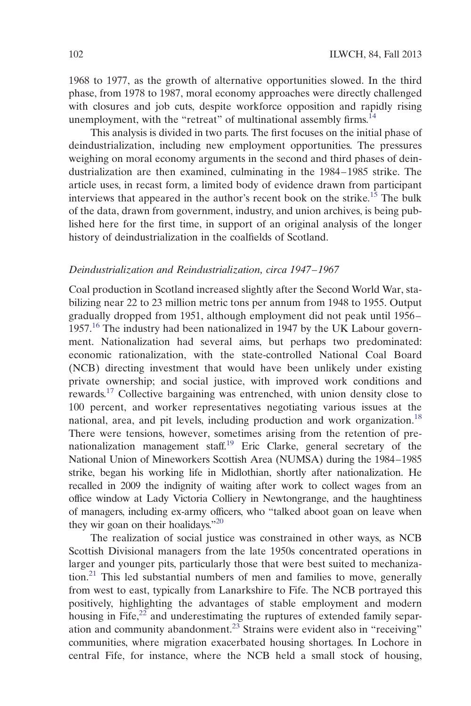1968 to 1977, as the growth of alternative opportunities slowed. In the third phase, from 1978 to 1987, moral economy approaches were directly challenged with closures and job cuts, despite workforce opposition and rapidly rising unemployment, with the "retreat" of multinational assembly firms.<sup>[14](#page-15-0)</sup>

This analysis is divided in two parts. The first focuses on the initial phase of deindustrialization, including new employment opportunities. The pressures weighing on moral economy arguments in the second and third phases of deindustrialization are then examined, culminating in the 1984 – 1985 strike. The article uses, in recast form, a limited body of evidence drawn from participant interviews that appeared in the author's recent book on the strike.<sup>15</sup> The bulk of the data, drawn from government, industry, and union archives, is being published here for the first time, in support of an original analysis of the longer history of deindustrialization in the coalfields of Scotland.

# Deindustrialization and Reindustrialization, circa 1947–1967

Coal production in Scotland increased slightly after the Second World War, stabilizing near 22 to 23 million metric tons per annum from 1948 to 1955. Output gradually dropped from 1951, although employment did not peak until 1956 – 1957.<sup>[16](#page-15-0)</sup> The industry had been nationalized in 1947 by the UK Labour government. Nationalization had several aims, but perhaps two predominated: economic rationalization, with the state-controlled National Coal Board (NCB) directing investment that would have been unlikely under existing private ownership; and social justice, with improved work conditions and rewards.[17](#page-15-0) Collective bargaining was entrenched, with union density close to 100 percent, and worker representatives negotiating various issues at the national, area, and pit levels, including production and work organization.<sup>[18](#page-15-0)</sup> There were tensions, however, sometimes arising from the retention of pre-nationalization management staff.<sup>[19](#page-15-0)</sup> Eric Clarke, general secretary of the National Union of Mineworkers Scottish Area (NUMSA) during the 1984–1985 strike, began his working life in Midlothian, shortly after nationalization. He recalled in 2009 the indignity of waiting after work to collect wages from an office window at Lady Victoria Colliery in Newtongrange, and the haughtiness of managers, including ex-army officers, who "talked aboot goan on leave when they wir goan on their hoalidays.["20](#page-15-0)

The realization of social justice was constrained in other ways, as NCB Scottish Divisional managers from the late 1950s concentrated operations in larger and younger pits, particularly those that were best suited to mechaniza-tion.<sup>[21](#page-15-0)</sup> This led substantial numbers of men and families to move, generally from west to east, typically from Lanarkshire to Fife. The NCB portrayed this positively, highlighting the advantages of stable employment and modern housing in Fife, $2<sup>2</sup>$  and underestimating the ruptures of extended family separ-ation and community abandonment.<sup>[23](#page-15-0)</sup> Strains were evident also in "receiving" communities, where migration exacerbated housing shortages. In Lochore in central Fife, for instance, where the NCB held a small stock of housing,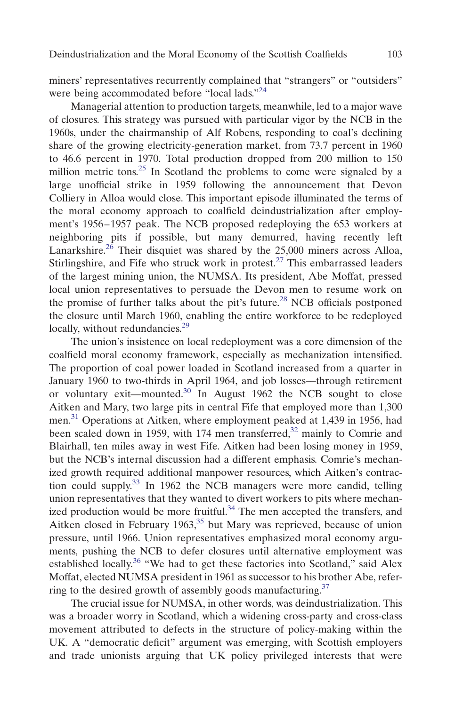miners' representatives recurrently complained that "strangers" or "outsiders" were being accommodated before "local lads."[24](#page-15-0)

Managerial attention to production targets, meanwhile, led to a major wave of closures. This strategy was pursued with particular vigor by the NCB in the 1960s, under the chairmanship of Alf Robens, responding to coal's declining share of the growing electricity-generation market, from 73.7 percent in 1960 to 46.6 percent in 1970. Total production dropped from 200 million to 150 million metric tons.<sup>[25](#page-15-0)</sup> In Scotland the problems to come were signaled by a large unofficial strike in 1959 following the announcement that Devon Colliery in Alloa would close. This important episode illuminated the terms of the moral economy approach to coalfield deindustrialization after employment's 1956 – 1957 peak. The NCB proposed redeploying the 653 workers at neighboring pits if possible, but many demurred, having recently left Lanarkshire.<sup>[26](#page-15-0)</sup> Their disquiet was shared by the 25,000 miners across Alloa, Stirlingshire, and Fife who struck work in protest.<sup>[27](#page-15-0)</sup> This embarrassed leaders of the largest mining union, the NUMSA. Its president, Abe Moffat, pressed local union representatives to persuade the Devon men to resume work on the promise of further talks about the pit's future.<sup>28</sup> NCB officials postponed the closure until March 1960, enabling the entire workforce to be redeployed locally, without redundancies.<sup>[29](#page-15-0)</sup>

The union's insistence on local redeployment was a core dimension of the coalfield moral economy framework, especially as mechanization intensified. The proportion of coal power loaded in Scotland increased from a quarter in January 1960 to two-thirds in April 1964, and job losses––through retirement or voluntary exit––mounted[.30](#page-15-0) In August 1962 the NCB sought to close Aitken and Mary, two large pits in central Fife that employed more than 1,300 men[.31](#page-15-0) Operations at Aitken, where employment peaked at 1,439 in 1956, had been scaled down in 1959, with 174 men transferred,<sup>32</sup> mainly to Comrie and Blairhall, ten miles away in west Fife. Aitken had been losing money in 1959, but the NCB's internal discussion had a different emphasis. Comrie's mechanized growth required additional manpower resources, which Aitken's contraction could supply[.33](#page-15-0) In 1962 the NCB managers were more candid, telling union representatives that they wanted to divert workers to pits where mechan-ized production would be more fruitful.<sup>[34](#page-15-0)</sup> The men accepted the transfers, and ized production would be more fruitful.<sup>34</sup> Aitken closed in February 1963, $35$  but Mary was reprieved, because of union pressure, until 1966. Union representatives emphasized moral economy arguments, pushing the NCB to defer closures until alternative employment was established locally.<sup>[36](#page-16-0)</sup> "We had to get these factories into Scotland," said Alex Moffat, elected NUMSA president in 1961 as successor to his brother Abe, referring to the desired growth of assembly goods manufacturing.<sup>37</sup>

The crucial issue for NUMSA, in other words, was deindustrialization. This was a broader worry in Scotland, which a widening cross-party and cross-class movement attributed to defects in the structure of policy-making within the UK. A "democratic deficit" argument was emerging, with Scottish employers and trade unionists arguing that UK policy privileged interests that were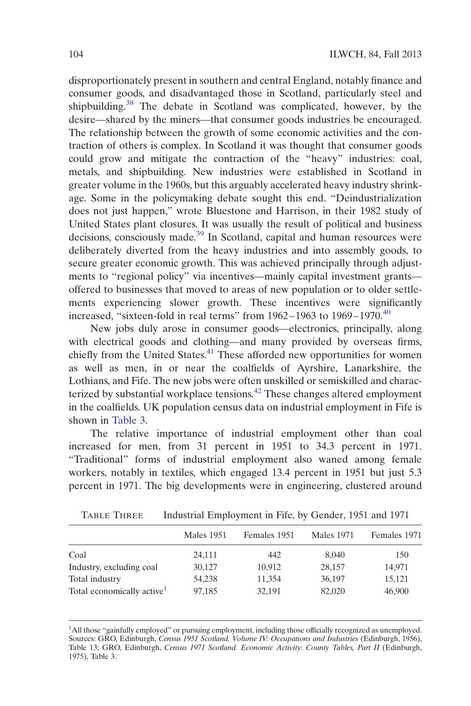disproportionately present in southern and central England, notably finance and consumer goods, and disadvantaged those in Scotland, particularly steel and shipbuilding.<sup>[38](#page-16-0)</sup> The debate in Scotland was complicated, however, by the desire––shared by the miners––that consumer goods industries be encouraged. The relationship between the growth of some economic activities and the contraction of others is complex. In Scotland it was thought that consumer goods could grow and mitigate the contraction of the "heavy" industries: coal, metals, and shipbuilding. New industries were established in Scotland in greater volume in the 1960s, but this arguably accelerated heavy industry shrinkage. Some in the policymaking debate sought this end. "Deindustrialization does not just happen," wrote Bluestone and Harrison, in their 1982 study of United States plant closures. It was usually the result of political and business decisions, consciously made.<sup>[39](#page-16-0)</sup> In Scotland, capital and human resources were deliberately diverted from the heavy industries and into assembly goods, to secure greater economic growth. This was achieved principally through adjustments to "regional policy" via incentives––mainly capital investment grants–– offered to businesses that moved to areas of new population or to older settlements experiencing slower growth. These incentives were significantly increased, "sixteen-fold in real terms" from  $1962 - 1963$  to  $1969 - 1970$ .<sup>[40](#page-16-0)</sup>

New jobs duly arose in consumer goods––electronics, principally, along with electrical goods and clothing—and many provided by overseas firms, chiefly from the United States.<sup>[41](#page-16-0)</sup> These afforded new opportunities for women as well as men, in or near the coalfields of Ayrshire, Lanarkshire, the Lothians, and Fife. The new jobs were often unskilled or semiskilled and charac-terized by substantial workplace tensions.<sup>[42](#page-16-0)</sup> These changes altered employment in the coalfields. UK population census data on industrial employment in Fife is shown in Table 3.

The relative importance of industrial employment other than coal increased for men, from 31 percent in 1951 to 34.3 percent in 1971. "Traditional" forms of industrial employment also waned among female workers, notably in textiles, which engaged 13.4 percent in 1951 but just 5.3 percent in 1971. The big developments were in engineering, clustered around

|                                        | Males 1951 | Females 1951 | <b>Males</b> 1971 | Females 1971 |
|----------------------------------------|------------|--------------|-------------------|--------------|
| Coal                                   | 24,111     | 442          | 8,040             | 150          |
| Industry, excluding coal               | 30,127     | 10,912       | 28,157            | 14,971       |
| Total industry                         | 54,238     | 11,354       | 36,197            | 15,121       |
| Total economically active <sup>1</sup> | 97,185     | 32,191       | 82,020            | 46,900       |

TABLE THREE Industrial Employment in Fife, by Gender, 1951 and 1971

<sup>1</sup>All those "gainfully employed" or pursuing employment, including those officially recognized as unemployed. Sources: GRO, Edinburgh, Census 1951 Scotland. Volume IV: Occupations and Industries (Edinburgh, 1956), Table 13; GRO, Edinburgh, Census 1971 Scotland. Economic Activity: County Tables, Part II (Edinburgh, 1975), Table 3.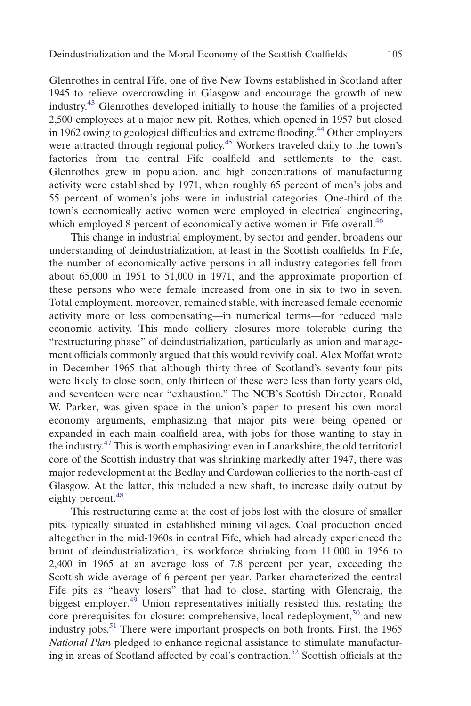Glenrothes in central Fife, one of five New Towns established in Scotland after 1945 to relieve overcrowding in Glasgow and encourage the growth of new industry.[43](#page-16-0) Glenrothes developed initially to house the families of a projected 2,500 employees at a major new pit, Rothes, which opened in 1957 but closed in 1962 owing to geological difficulties and extreme flooding.<sup>44</sup> Other employers were attracted through regional policy.<sup>[45](#page-16-0)</sup> Workers traveled daily to the town's factories from the central Fife coalfield and settlements to the east. Glenrothes grew in population, and high concentrations of manufacturing activity were established by 1971, when roughly 65 percent of men's jobs and 55 percent of women's jobs were in industrial categories. One-third of the town's economically active women were employed in electrical engineering, which employed 8 percent of economically active women in Fife overall.<sup>46</sup>

This change in industrial employment, by sector and gender, broadens our understanding of deindustrialization, at least in the Scottish coalfields. In Fife, the number of economically active persons in all industry categories fell from about 65,000 in 1951 to 51,000 in 1971, and the approximate proportion of these persons who were female increased from one in six to two in seven. Total employment, moreover, remained stable, with increased female economic activity more or less compensating––in numerical terms––for reduced male economic activity. This made colliery closures more tolerable during the "restructuring phase" of deindustrialization, particularly as union and management officials commonly argued that this would revivify coal. Alex Moffat wrote in December 1965 that although thirty-three of Scotland's seventy-four pits were likely to close soon, only thirteen of these were less than forty years old, and seventeen were near "exhaustion." The NCB's Scottish Director, Ronald W. Parker, was given space in the union's paper to present his own moral economy arguments, emphasizing that major pits were being opened or expanded in each main coalfield area, with jobs for those wanting to stay in the industry.[47](#page-16-0) This is worth emphasizing: even in Lanarkshire, the old territorial core of the Scottish industry that was shrinking markedly after 1947, there was major redevelopment at the Bedlay and Cardowan collieries to the north-east of Glasgow. At the latter, this included a new shaft, to increase daily output by eighty percent.<sup>48</sup>

This restructuring came at the cost of jobs lost with the closure of smaller pits, typically situated in established mining villages. Coal production ended altogether in the mid-1960s in central Fife, which had already experienced the brunt of deindustrialization, its workforce shrinking from 11,000 in 1956 to 2,400 in 1965 at an average loss of 7.8 percent per year, exceeding the Scottish-wide average of 6 percent per year. Parker characterized the central Fife pits as "heavy losers" that had to close, starting with Glencraig, the biggest employer. $49$  Union representatives initially resisted this, restating the core prerequisites for closure: comprehensive, local redeployment,<sup>[50](#page-16-0)</sup> and new industry jobs.[51](#page-16-0) There were important prospects on both fronts. First, the 1965 National Plan pledged to enhance regional assistance to stimulate manufacturing in areas of Scotland affected by coal's contraction.[52](#page-16-0) Scottish officials at the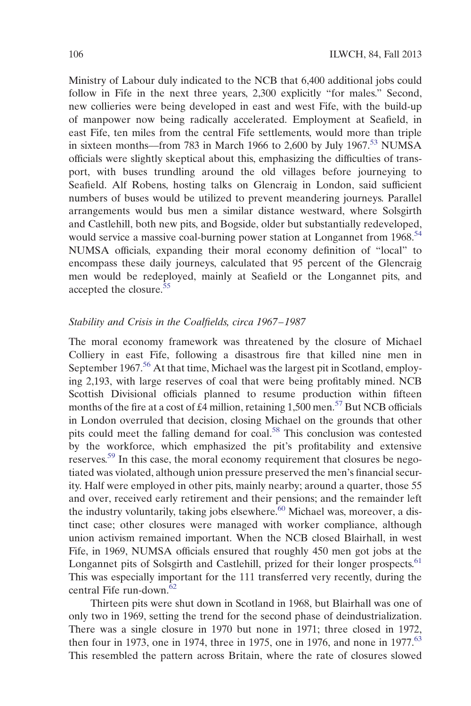Ministry of Labour duly indicated to the NCB that 6,400 additional jobs could follow in Fife in the next three years, 2,300 explicitly "for males." Second, new collieries were being developed in east and west Fife, with the build-up of manpower now being radically accelerated. Employment at Seafield, in east Fife, ten miles from the central Fife settlements, would more than triple in sixteen months—from 783 in March 1966 to 2,600 by July 1967.<sup>53</sup> NUMSA officials were slightly skeptical about this, emphasizing the difficulties of transport, with buses trundling around the old villages before journeying to Seafield. Alf Robens, hosting talks on Glencraig in London, said sufficient numbers of buses would be utilized to prevent meandering journeys. Parallel arrangements would bus men a similar distance westward, where Solsgirth and Castlehill, both new pits, and Bogside, older but substantially redeveloped, would service a massive coal-burning power station at Longannet from 1968.<sup>[54](#page-16-0)</sup> NUMSA officials, expanding their moral economy definition of "local" to encompass these daily journeys, calculated that 95 percent of the Glencraig men would be redeployed, mainly at Seafield or the Longannet pits, and accepted the closure.<sup>[55](#page-16-0)</sup>

## Stability and Crisis in the Coalfields, circa 1967–1987

The moral economy framework was threatened by the closure of Michael Colliery in east Fife, following a disastrous fire that killed nine men in September 1967.<sup>[56](#page-16-0)</sup> At that time, Michael was the largest pit in Scotland, employing 2,193, with large reserves of coal that were being profitably mined. NCB Scottish Divisional officials planned to resume production within fifteen months of the fire at a cost of £4 million, retaining  $1,500$  men.<sup>[57](#page-16-0)</sup> But NCB officials in London overruled that decision, closing Michael on the grounds that other pits could meet the falling demand for coal.<sup>[58](#page-16-0)</sup> This conclusion was contested by the workforce, which emphasized the pit's profitability and extensive reserves.<sup>[59](#page-16-0)</sup> In this case, the moral economy requirement that closures be negotiated was violated, although union pressure preserved the men's financial security. Half were employed in other pits, mainly nearby; around a quarter, those 55 and over, received early retirement and their pensions; and the remainder left the industry voluntarily, taking jobs elsewhere.<sup>[60](#page-16-0)</sup> Michael was, moreover, a distinct case; other closures were managed with worker compliance, although union activism remained important. When the NCB closed Blairhall, in west Fife, in 1969, NUMSA officials ensured that roughly 450 men got jobs at the Longannet pits of Solsgirth and Castlehill, prized for their longer prospects.<sup>[61](#page-16-0)</sup> This was especially important for the 111 transferred very recently, during the central Fife run-down[.62](#page-16-0)

Thirteen pits were shut down in Scotland in 1968, but Blairhall was one of only two in 1969, setting the trend for the second phase of deindustrialization. There was a single closure in 1970 but none in 1971; three closed in 1972, then four in 1973, one in 1974, three in 1975, one in 1976, and none in 1977.<sup>[63](#page-16-0)</sup> This resembled the pattern across Britain, where the rate of closures slowed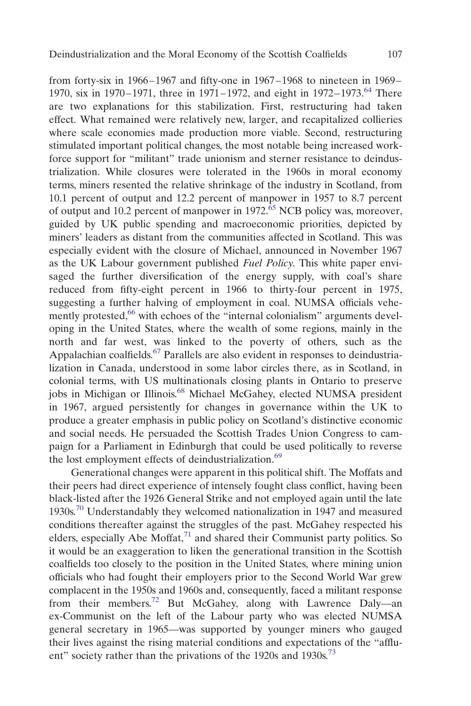from forty-six in 1966–1967 and fifty-one in  $1967-1968$  to nineteen in 1969– 1970, six in 1970–1971, three in 1971–1972, and eight in 1972–1973.<sup>[64](#page-16-0)</sup> There are two explanations for this stabilization. First, restructuring had taken effect. What remained were relatively new, larger, and recapitalized collieries where scale economies made production more viable. Second, restructuring stimulated important political changes, the most notable being increased workforce support for "militant" trade unionism and sterner resistance to deindustrialization. While closures were tolerated in the 1960s in moral economy terms, miners resented the relative shrinkage of the industry in Scotland, from 10.1 percent of output and 12.2 percent of manpower in 1957 to 8.7 percent of output and 10.2 percent of manpower in 1972.<sup>65</sup> NCB policy was, moreover, guided by UK public spending and macroeconomic priorities, depicted by miners' leaders as distant from the communities affected in Scotland. This was especially evident with the closure of Michael, announced in November 1967 as the UK Labour government published Fuel Policy. This white paper envisaged the further diversification of the energy supply, with coal's share reduced from fifty-eight percent in 1966 to thirty-four percent in 1975, suggesting a further halving of employment in coal. NUMSA officials vehemently protested,<sup>66</sup> with echoes of the "internal colonialism" arguments developing in the United States, where the wealth of some regions, mainly in the north and far west, was linked to the poverty of others, such as the Appalachian coalfields.[67](#page-16-0) Parallels are also evident in responses to deindustrialization in Canada, understood in some labor circles there, as in Scotland, in colonial terms, with US multinationals closing plants in Ontario to preserve jobs in Michigan or Illinois.<sup>[68](#page-16-0)</sup> Michael McGahey, elected NUMSA president in 1967, argued persistently for changes in governance within the UK to produce a greater emphasis in public policy on Scotland's distinctive economic and social needs. He persuaded the Scottish Trades Union Congress to campaign for a Parliament in Edinburgh that could be used politically to reverse the lost employment effects of deindustrialization.<sup>[69](#page-16-0)</sup>

Generational changes were apparent in this political shift. The Moffats and their peers had direct experience of intensely fought class conflict, having been black-listed after the 1926 General Strike and not employed again until the late 1930s.[70](#page-17-0) Understandably they welcomed nationalization in 1947 and measured conditions thereafter against the struggles of the past. McGahey respected his elders, especially Abe Moffat, $71$  and shared their Communist party politics. So it would be an exaggeration to liken the generational transition in the Scottish coalfields too closely to the position in the United States, where mining union officials who had fought their employers prior to the Second World War grew complacent in the 1950s and 1960s and, consequently, faced a militant response from their members.[72](#page-17-0) But McGahey, along with Lawrence Daly––an ex-Communist on the left of the Labour party who was elected NUMSA general secretary in 1965––was supported by younger miners who gauged their lives against the rising material conditions and expectations of the "afflu-ent" society rather than the privations of the 1920s and 1930s.<sup>[73](#page-17-0)</sup>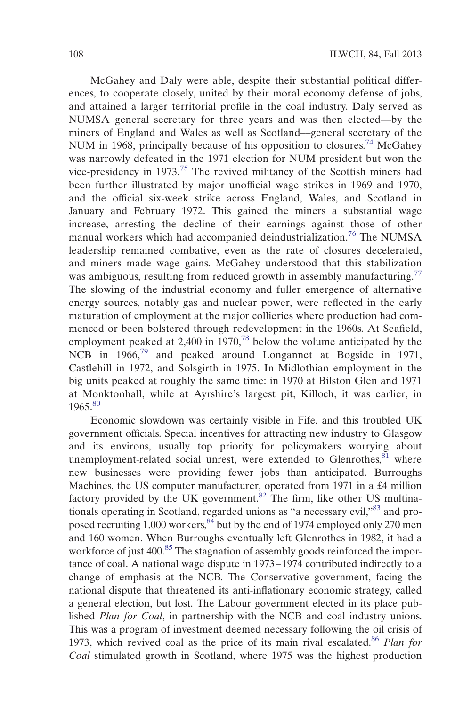McGahey and Daly were able, despite their substantial political differences, to cooperate closely, united by their moral economy defense of jobs, and attained a larger territorial profile in the coal industry. Daly served as NUMSA general secretary for three years and was then elected––by the miners of England and Wales as well as Scotland––general secretary of the NUM in 1968, principally because of his opposition to closures.<sup>[74](#page-17-0)</sup> McGahey was narrowly defeated in the 1971 election for NUM president but won the vice-presidency in 1973.[75](#page-17-0) The revived militancy of the Scottish miners had been further illustrated by major unofficial wage strikes in 1969 and 1970, and the official six-week strike across England, Wales, and Scotland in January and February 1972. This gained the miners a substantial wage increase, arresting the decline of their earnings against those of other manual workers which had accompanied deindustrialization.<sup>[76](#page-17-0)</sup> The NUMSA leadership remained combative, even as the rate of closures decelerated, and miners made wage gains. McGahey understood that this stabilization was ambiguous, resulting from reduced growth in assembly manufacturing.<sup>[77](#page-17-0)</sup> The slowing of the industrial economy and fuller emergence of alternative energy sources, notably gas and nuclear power, were reflected in the early maturation of employment at the major collieries where production had commenced or been bolstered through redevelopment in the 1960s. At Seafield, employment peaked at 2,400 in 1970,<sup>[78](#page-17-0)</sup> below the volume anticipated by the NCB in 1966,<sup>[79](#page-17-0)</sup> and peaked around Longannet at Bogside in 1971, Castlehill in 1972, and Solsgirth in 1975. In Midlothian employment in the big units peaked at roughly the same time: in 1970 at Bilston Glen and 1971 at Monktonhall, while at Ayrshire's largest pit, Killoch, it was earlier, in 1965.[80](#page-17-0)

Economic slowdown was certainly visible in Fife, and this troubled UK government officials. Special incentives for attracting new industry to Glasgow and its environs, usually top priority for policymakers worrying about unemployment-related social unrest, were extended to Glenrothes,  $81$  where new businesses were providing fewer jobs than anticipated. Burroughs Machines, the US computer manufacturer, operated from 1971 in a £4 million factory provided by the UK government.<sup>[82](#page-17-0)</sup> The firm, like other US multinationals operating in Scotland, regarded unions as "a necessary evil,["83](#page-17-0) and proposed recruiting  $1,000$  workers,  $84$  but by the end of 1974 employed only 270 men and 160 women. When Burroughs eventually left Glenrothes in 1982, it had a workforce of just 400.<sup>[85](#page-17-0)</sup> The stagnation of assembly goods reinforced the importance of coal. A national wage dispute in 1973 – 1974 contributed indirectly to a change of emphasis at the NCB. The Conservative government, facing the national dispute that threatened its anti-inflationary economic strategy, called a general election, but lost. The Labour government elected in its place published Plan for Coal, in partnership with the NCB and coal industry unions. This was a program of investment deemed necessary following the oil crisis of 1973, which revived coal as the price of its main rival escalated.<sup>86</sup> Plan for Coal stimulated growth in Scotland, where 1975 was the highest production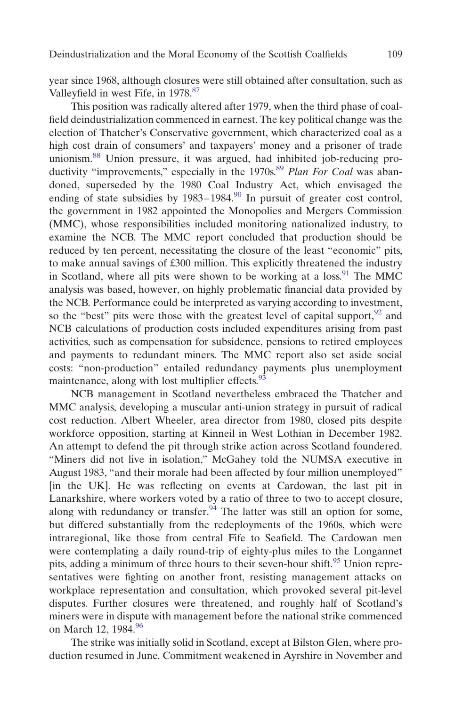year since 1968, although closures were still obtained after consultation, such as Valleyfield in west Fife, in 1978.<sup>[87](#page-17-0)</sup>

This position was radically altered after 1979, when the third phase of coalfield deindustrialization commenced in earnest. The key political change was the election of Thatcher's Conservative government, which characterized coal as a high cost drain of consumers' and taxpayers' money and a prisoner of trade unionism.[88](#page-17-0) Union pressure, it was argued, had inhibited job-reducing productivity "improvements," especially in the 1970s.<sup>89</sup> Plan For Coal was abandoned, superseded by the 1980 Coal Industry Act, which envisaged the ending of state subsidies by  $1983 - 1984$ .<sup>[90](#page-17-0)</sup> In pursuit of greater cost control, the government in 1982 appointed the Monopolies and Mergers Commission (MMC), whose responsibilities included monitoring nationalized industry, to examine the NCB. The MMC report concluded that production should be reduced by ten percent, necessitating the closure of the least "economic" pits, to make annual savings of £300 million. This explicitly threatened the industry in Scotland, where all pits were shown to be working at a loss.<sup>[91](#page-17-0)</sup> The MMC analysis was based, however, on highly problematic financial data provided by the NCB. Performance could be interpreted as varying according to investment, so the "best" pits were those with the greatest level of capital support,<sup>[92](#page-17-0)</sup> and NCB calculations of production costs included expenditures arising from past activities, such as compensation for subsidence, pensions to retired employees and payments to redundant miners. The MMC report also set aside social costs: "non-production" entailed redundancy payments plus unemployment maintenance, along with lost multiplier effects.<sup>[93](#page-17-0)</sup>

NCB management in Scotland nevertheless embraced the Thatcher and MMC analysis, developing a muscular anti-union strategy in pursuit of radical cost reduction. Albert Wheeler, area director from 1980, closed pits despite workforce opposition, starting at Kinneil in West Lothian in December 1982. An attempt to defend the pit through strike action across Scotland foundered. "Miners did not live in isolation," McGahey told the NUMSA executive in August 1983, "and their morale had been affected by four million unemployed" [in the UK]. He was reflecting on events at Cardowan, the last pit in Lanarkshire, where workers voted by a ratio of three to two to accept closure, along with redundancy or transfer.<sup>[94](#page-17-0)</sup> The latter was still an option for some, but differed substantially from the redeployments of the 1960s, which were intraregional, like those from central Fife to Seafield. The Cardowan men were contemplating a daily round-trip of eighty-plus miles to the Longannet pits, adding a minimum of three hours to their seven-hour shift.<sup>[95](#page-17-0)</sup> Union representatives were fighting on another front, resisting management attacks on workplace representation and consultation, which provoked several pit-level disputes. Further closures were threatened, and roughly half of Scotland's miners were in dispute with management before the national strike commenced on March 12, 1984.<sup>96</sup>

The strike was initially solid in Scotland, except at Bilston Glen, where production resumed in June. Commitment weakened in Ayrshire in November and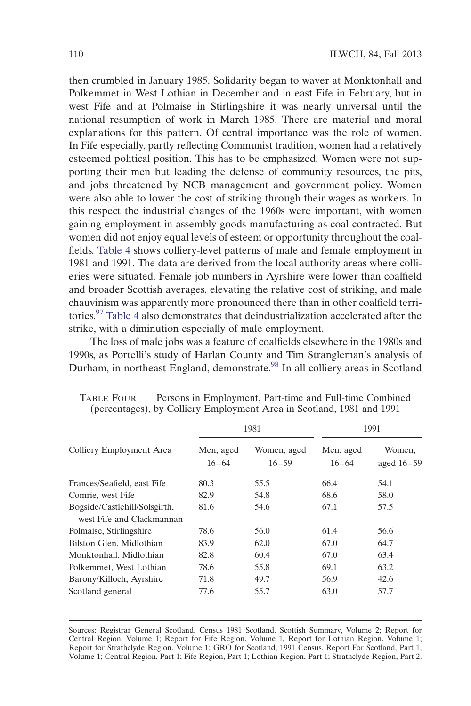<span id="page-12-0"></span>then crumbled in January 1985. Solidarity began to waver at Monktonhall and Polkemmet in West Lothian in December and in east Fife in February, but in west Fife and at Polmaise in Stirlingshire it was nearly universal until the national resumption of work in March 1985. There are material and moral explanations for this pattern. Of central importance was the role of women. In Fife especially, partly reflecting Communist tradition, women had a relatively esteemed political position. This has to be emphasized. Women were not supporting their men but leading the defense of community resources, the pits, and jobs threatened by NCB management and government policy. Women were also able to lower the cost of striking through their wages as workers. In this respect the industrial changes of the 1960s were important, with women gaining employment in assembly goods manufacturing as coal contracted. But women did not enjoy equal levels of esteem or opportunity throughout the coalfields. Table 4 shows colliery-level patterns of male and female employment in 1981 and 1991. The data are derived from the local authority areas where collieries were situated. Female job numbers in Ayrshire were lower than coalfield and broader Scottish averages, elevating the relative cost of striking, and male chauvinism was apparently more pronounced there than in other coalfield territories.[97](#page-17-0) Table 4 also demonstrates that deindustrialization accelerated after the strike, with a diminution especially of male employment.

The loss of male jobs was a feature of coalfields elsewhere in the 1980s and 1990s, as Portelli's study of Harlan County and Tim Strangleman's analysis of Durham, in northeast England, demonstrate.<sup>98</sup> In all colliery areas in Scotland

|                                                            | 1981                   |                          | 1991                   |                        |
|------------------------------------------------------------|------------------------|--------------------------|------------------------|------------------------|
| Colliery Employment Area                                   | Men, aged<br>$16 - 64$ | Women, aged<br>$16 - 59$ | Men, aged<br>$16 - 64$ | Women.<br>aged $16-59$ |
| Frances/Seafield, east Fife                                | 80.3                   | 55.5                     | 66.4                   | 54.1                   |
| Comrie, west Fife                                          | 82.9                   | 54.8                     | 68.6                   | 58.0                   |
| Bogside/Castlehill/Solsgirth,<br>west Fife and Clackmannan | 81.6                   | 54.6                     | 67.1                   | 57.5                   |
| Polmaise, Stirlingshire                                    | 78.6                   | 56.0                     | 61.4                   | 56.6                   |
| Bilston Glen, Midlothian                                   | 83.9                   | 62.0                     | 67.0                   | 64.7                   |
| Monktonhall, Midlothian                                    | 82.8                   | 60.4                     | 67.0                   | 63.4                   |
| Polkemmet, West Lothian                                    | 78.6                   | 55.8                     | 69.1                   | 63.2                   |
| Barony/Killoch, Ayrshire                                   | 71.8                   | 49.7                     | 56.9                   | 42.6                   |
| Scotland general                                           | 77.6                   | 55.7                     | 63.0                   | 57.7                   |

TABLE FOUR Persons in Employment, Part-time and Full-time Combined (percentages), by Colliery Employment Area in Scotland, 1981 and 1991

Sources: Registrar General Scotland, Census 1981 Scotland. Scottish Summary, Volume 2; Report for Central Region. Volume 1; Report for Fife Region. Volume 1; Report for Lothian Region. Volume 1; Report for Strathclyde Region. Volume 1; GRO for Scotland, 1991 Census. Report For Scotland, Part 1, Volume 1; Central Region, Part 1; Fife Region, Part 1; Lothian Region, Part 1; Strathclyde Region, Part 2.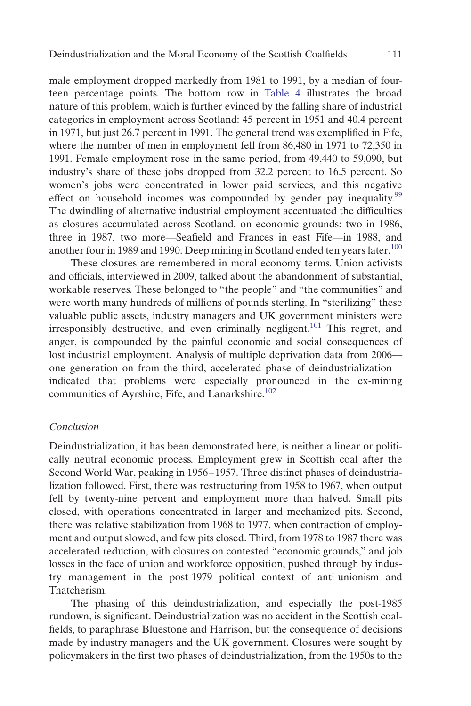male employment dropped markedly from 1981 to 1991, by a median of fourteen percentage points. The bottom row in [Table 4](#page-12-0) illustrates the broad nature of this problem, which is further evinced by the falling share of industrial categories in employment across Scotland: 45 percent in 1951 and 40.4 percent in 1971, but just 26.7 percent in 1991. The general trend was exemplified in Fife, where the number of men in employment fell from 86,480 in 1971 to 72,350 in 1991. Female employment rose in the same period, from 49,440 to 59,090, but industry's share of these jobs dropped from 32.2 percent to 16.5 percent. So women's jobs were concentrated in lower paid services, and this negative effect on household incomes was compounded by gender pay inequality.<sup>[99](#page-17-0)</sup> The dwindling of alternative industrial employment accentuated the difficulties as closures accumulated across Scotland, on economic grounds: two in 1986, three in 1987, two more––Seafield and Frances in east Fife––in 1988, and another four in 1989 and 1990. Deep mining in Scotland ended ten years later.<sup>100</sup>

These closures are remembered in moral economy terms. Union activists and officials, interviewed in 2009, talked about the abandonment of substantial, workable reserves. These belonged to "the people" and "the communities" and were worth many hundreds of millions of pounds sterling. In "sterilizing" these valuable public assets, industry managers and UK government ministers were irresponsibly destructive, and even criminally negligent[.101](#page-17-0) This regret, and anger, is compounded by the painful economic and social consequences of lost industrial employment. Analysis of multiple deprivation data from 2006–– one generation on from the third, accelerated phase of deindustrialization–– indicated that problems were especially pronounced in the ex-mining communities of Ayrshire, Fife, and Lanarkshire.<sup>[102](#page-17-0)</sup>

# Conclusion

Deindustrialization, it has been demonstrated here, is neither a linear or politically neutral economic process. Employment grew in Scottish coal after the Second World War, peaking in 1956–1957. Three distinct phases of deindustrialization followed. First, there was restructuring from 1958 to 1967, when output fell by twenty-nine percent and employment more than halved. Small pits closed, with operations concentrated in larger and mechanized pits. Second, there was relative stabilization from 1968 to 1977, when contraction of employment and output slowed, and few pits closed. Third, from 1978 to 1987 there was accelerated reduction, with closures on contested "economic grounds," and job losses in the face of union and workforce opposition, pushed through by industry management in the post-1979 political context of anti-unionism and Thatcherism.

The phasing of this deindustrialization, and especially the post-1985 rundown, is significant. Deindustrialization was no accident in the Scottish coalfields, to paraphrase Bluestone and Harrison, but the consequence of decisions made by industry managers and the UK government. Closures were sought by policymakers in the first two phases of deindustrialization, from the 1950s to the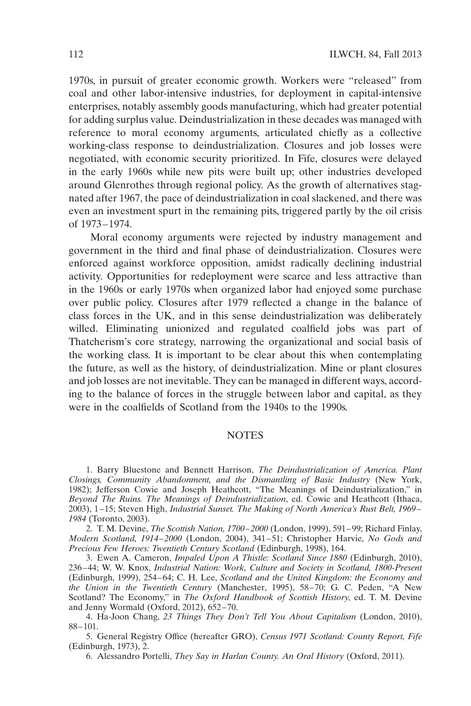<span id="page-14-0"></span>1970s, in pursuit of greater economic growth. Workers were "released" from coal and other labor-intensive industries, for deployment in capital-intensive enterprises, notably assembly goods manufacturing, which had greater potential for adding surplus value. Deindustrialization in these decades was managed with reference to moral economy arguments, articulated chiefly as a collective working-class response to deindustrialization. Closures and job losses were negotiated, with economic security prioritized. In Fife, closures were delayed in the early 1960s while new pits were built up; other industries developed around Glenrothes through regional policy. As the growth of alternatives stagnated after 1967, the pace of deindustrialization in coal slackened, and there was even an investment spurt in the remaining pits, triggered partly by the oil crisis of 1973 –1974.

Moral economy arguments were rejected by industry management and government in the third and final phase of deindustrialization. Closures were enforced against workforce opposition, amidst radically declining industrial activity. Opportunities for redeployment were scarce and less attractive than in the 1960s or early 1970s when organized labor had enjoyed some purchase over public policy. Closures after 1979 reflected a change in the balance of class forces in the UK, and in this sense deindustrialization was deliberately willed. Eliminating unionized and regulated coalfield jobs was part of Thatcherism's core strategy, narrowing the organizational and social basis of the working class. It is important to be clear about this when contemplating the future, as well as the history, of deindustrialization. Mine or plant closures and job losses are not inevitable. They can be managed in different ways, according to the balance of forces in the struggle between labor and capital, as they were in the coalfields of Scotland from the 1940s to the 1990s.

# **NOTES**

1. Barry Bluestone and Bennett Harrison, The Deindustrialization of America. Plant Closings, Community Abandonment, and the Dismantling of Basic Industry (New York, 1982); Jefferson Cowie and Joseph Heathcott, "The Meanings of Deindustrialization," in Beyond The Ruins. The Meanings of Deindustrialization, ed. Cowie and Heathcott (Ithaca, 2003), 1–15; Steven High, Industrial Sunset. The Making of North America's Rust Belt, 1969– 1984 (Toronto, 2003).

2. T. M. Devine, The Scottish Nation, 1700–2000 (London, 1999), 591–99; Richard Finlay, Modern Scotland, 1914–2000 (London, 2004), 341– 51; Christopher Harvie, No Gods and Precious Few Heroes: Twentieth Century Scotland (Edinburgh, 1998), 164.

3. Ewen A. Cameron, Impaled Upon A Thistle: Scotland Since 1880 (Edinburgh, 2010), 236– 44; W. W. Knox, Industrial Nation: Work, Culture and Society in Scotland, 1800-Present (Edinburgh, 1999), 254–64; C. H. Lee, Scotland and the United Kingdom: the Economy and the Union in the Twentieth Century (Manchester, 1995), 58–70; G. C. Peden, "A New Scotland? The Economy," in The Oxford Handbook of Scottish History, ed. T. M. Devine and Jenny Wormald (Oxford, 2012), 652–70.

4. Ha-Joon Chang, 23 Things They Don't Tell You About Capitalism (London, 2010), 88–101.

5. General Registry Office (hereafter GRO), Census 1971 Scotland: County Report, Fife (Edinburgh, 1973), 2.

6. Alessandro Portelli, They Say in Harlan County. An Oral History (Oxford, 2011).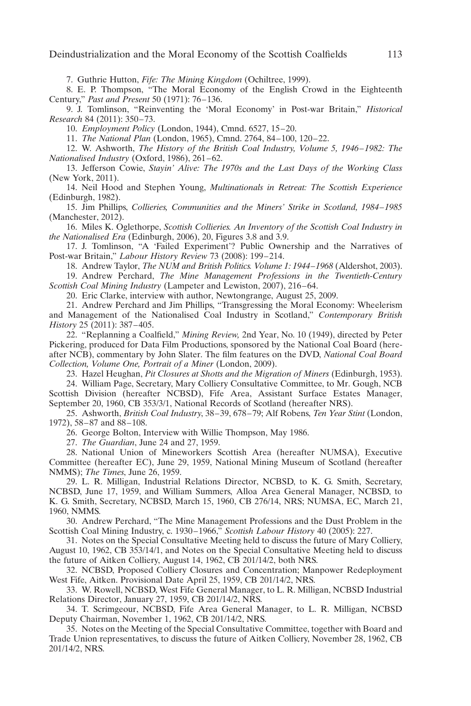<span id="page-15-0"></span>Deindustrialization and the Moral Economy of the Scottish Coalfields 113

7. Guthrie Hutton, Fife: The Mining Kingdom (Ochiltree, 1999).

8. E. P. Thompson, "The Moral Economy of the English Crowd in the Eighteenth Century," Past and Present 50 (1971): 76– 136.

9. J. Tomlinson, "Reinventing the 'Moral Economy' in Post-war Britain," Historical Research 84 (2011): 350-73.

10. Employment Policy (London, 1944), Cmnd. 6527, 15– 20.

11. The National Plan (London, 1965), Cmnd. 2764, 84–100, 120–22.

12. W. Ashworth, The History of the British Coal Industry, Volume 5, 1946–1982: The Nationalised Industry (Oxford, 1986), 261 –62.

13. Jefferson Cowie, Stayin' Alive: The 1970s and the Last Days of the Working Class (New York, 2011).

14. Neil Hood and Stephen Young, Multinationals in Retreat: The Scottish Experience (Edinburgh, 1982).

15. Jim Phillips, Collieries, Communities and the Miners' Strike in Scotland, 1984–1985 (Manchester, 2012).

16. Miles K. Oglethorpe, Scottish Collieries. An Inventory of the Scottish Coal Industry in the Nationalised Era (Edinburgh, 2006), 20, Figures 3.8 and 3.9.

17. J. Tomlinson, "A 'Failed Experiment'? Public Ownership and the Narratives of Post-war Britain," Labour History Review 73 (2008): 199-214.

18. Andrew Taylor, The NUM and British Politics. Volume 1: 1944–1968 (Aldershot, 2003).

19. Andrew Perchard, The Mine Management Professions in the Twentieth-Century Scottish Coal Mining Industry (Lampeter and Lewiston, 2007), 216–64.

20. Eric Clarke, interview with author, Newtongrange, August 25, 2009.

21. Andrew Perchard and Jim Phillips, "Transgressing the Moral Economy: Wheelerism and Management of the Nationalised Coal Industry in Scotland," Contemporary British History 25 (2011): 387–405.

22. "Replanning a Coalfield," Mining Review, 2nd Year, No. 10 (1949), directed by Peter Pickering, produced for Data Film Productions, sponsored by the National Coal Board (hereafter NCB), commentary by John Slater. The film features on the DVD, National Coal Board Collection, Volume One, Portrait of a Miner (London, 2009).

23. Hazel Heughan, Pit Closures at Shotts and the Migration of Miners (Edinburgh, 1953).

24. William Page, Secretary, Mary Colliery Consultative Committee, to Mr. Gough, NCB Scottish Division (hereafter NCBSD), Fife Area, Assistant Surface Estates Manager, September 20, 1960, CB 353/3/1, National Records of Scotland (hereafter NRS).

25. Ashworth, British Coal Industry, 38-39, 678-79; Alf Robens, Ten Year Stint (London, 1972), 58–87 and 88–108.

26. George Bolton, Interview with Willie Thompson, May 1986.

27. The Guardian, June 24 and 27, 1959.

28. National Union of Mineworkers Scottish Area (hereafter NUMSA), Executive Committee (hereafter EC), June 29, 1959, National Mining Museum of Scotland (hereafter NMMS); The Times, June 26, 1959.

29. L. R. Milligan, Industrial Relations Director, NCBSD, to K. G. Smith, Secretary, NCBSD, June 17, 1959, and William Summers, Alloa Area General Manager, NCBSD, to K. G. Smith, Secretary, NCBSD, March 15, 1960, CB 276/14, NRS; NUMSA, EC, March 21, 1960, NMMS.

30. Andrew Perchard, "The Mine Management Professions and the Dust Problem in the Scottish Coal Mining Industry, c. 1930–1966," Scottish Labour History 40 (2005): 227.

31. Notes on the Special Consultative Meeting held to discuss the future of Mary Colliery, August 10, 1962, CB 353/14/1, and Notes on the Special Consultative Meeting held to discuss the future of Aitken Colliery, August 14, 1962, CB 201/14/2, both NRS.

32. NCBSD, Proposed Colliery Closures and Concentration; Manpower Redeployment West Fife, Aitken. Provisional Date April 25, 1959, CB 201/14/2, NRS.

33. W. Rowell, NCBSD, West Fife General Manager, to L. R. Milligan, NCBSD Industrial Relations Director, January 27, 1959, CB 201/14/2, NRS.

34. T. Scrimgeour, NCBSD, Fife Area General Manager, to L. R. Milligan, NCBSD Deputy Chairman, November 1, 1962, CB 201/14/2, NRS.

35. Notes on the Meeting of the Special Consultative Committee, together with Board and Trade Union representatives, to discuss the future of Aitken Colliery, November 28, 1962, CB 201/14/2, NRS.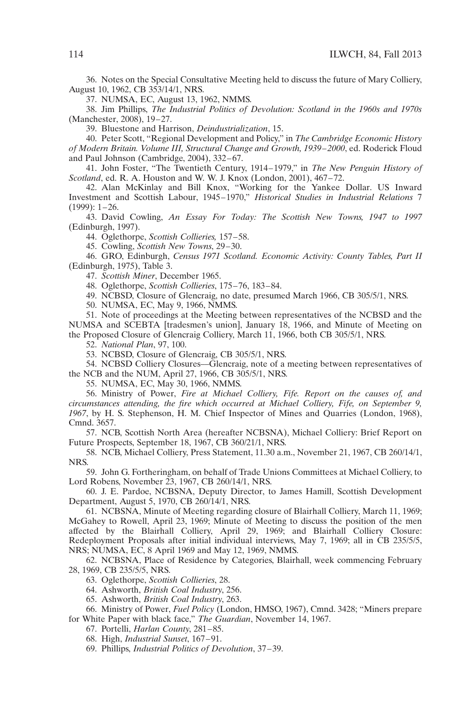<span id="page-16-0"></span>36. Notes on the Special Consultative Meeting held to discuss the future of Mary Colliery, August 10, 1962, CB 353/14/1, NRS.

37. NUMSA, EC, August 13, 1962, NMMS.

38. Jim Phillips, The Industrial Politics of Devolution: Scotland in the 1960s and 1970s (Manchester, 2008), 19–27.

39. Bluestone and Harrison, Deindustrialization, 15.

40. Peter Scott, "Regional Development and Policy," in The Cambridge Economic History of Modern Britain. Volume III, Structural Change and Growth, 1939–2000, ed. Roderick Floud and Paul Johnson (Cambridge, 2004), 332–67.

41. John Foster, "The Twentieth Century, 1914– 1979," in The New Penguin History of Scotland, ed. R. A. Houston and W. W. J. Knox (London, 2001), 467-72.

42. Alan McKinlay and Bill Knox, "Working for the Yankee Dollar. US Inward Investment and Scottish Labour, 1945– 1970," Historical Studies in Industrial Relations 7 (1999): 1–26.

43. David Cowling, An Essay For Today: The Scottish New Towns, 1947 to 1997 (Edinburgh, 1997).

44. Oglethorpe, Scottish Collieries, 157–58.

45. Cowling, Scottish New Towns, 29–30.

46. GRO, Edinburgh, Census 1971 Scotland. Economic Activity: County Tables, Part II (Edinburgh, 1975), Table 3.

47. Scottish Miner, December 1965.

48. Oglethorpe, Scottish Collieries, 175–76, 183– 84.

49. NCBSD, Closure of Glencraig, no date, presumed March 1966, CB 305/5/1, NRS.

50. NUMSA, EC, May 9, 1966, NMMS.

51. Note of proceedings at the Meeting between representatives of the NCBSD and the NUMSA and SCEBTA [tradesmen's union], January 18, 1966, and Minute of Meeting on the Proposed Closure of Glencraig Colliery, March 11, 1966, both CB 305/5/1, NRS.

52. National Plan, 97, 100.

53. NCBSD, Closure of Glencraig, CB 305/5/1, NRS.

54. NCBSD Colliery Closures––Glencraig, note of a meeting between representatives of the NCB and the NUM, April 27, 1966, CB 305/5/1, NRS.

55. NUMSA, EC, May 30, 1966, NMMS.

56. Ministry of Power, Fire at Michael Colliery, Fife. Report on the causes of, and circumstances attending, the fire which occurred at Michael Colliery, Fife, on September 9, 1967, by H. S. Stephenson, H. M. Chief Inspector of Mines and Quarries (London, 1968), Cmnd. 3657.

57. NCB, Scottish North Area (hereafter NCBSNA), Michael Colliery: Brief Report on Future Prospects, September 18, 1967, CB 360/21/1, NRS.

58. NCB, Michael Colliery, Press Statement, 11.30 a.m., November 21, 1967, CB 260/14/1, NRS.

59. John G. Fortheringham, on behalf of Trade Unions Committees at Michael Colliery, to Lord Robens, November 23, 1967, CB 260/14/1, NRS.

60. J. E. Pardoe, NCBSNA, Deputy Director, to James Hamill, Scottish Development Department, August 5, 1970, CB 260/14/1, NRS.

61. NCBSNA, Minute of Meeting regarding closure of Blairhall Colliery, March 11, 1969; McGahey to Rowell, April 23, 1969; Minute of Meeting to discuss the position of the men affected by the Blairhall Colliery, April 29, 1969; and Blairhall Colliery Closure: Redeployment Proposals after initial individual interviews, May 7, 1969; all in CB 235/5/5, NRS; NUMSA, EC, 8 April 1969 and May 12, 1969, NMMS.

62. NCBSNA, Place of Residence by Categories, Blairhall, week commencing February 28, 1969, CB 235/5/5, NRS.

63. Oglethorpe, Scottish Collieries, 28.

64. Ashworth, British Coal Industry, 256.

65. Ashworth, British Coal Industry, 263.

66. Ministry of Power, Fuel Policy (London, HMSO, 1967), Cmnd. 3428; "Miners prepare for White Paper with black face," The Guardian, November 14, 1967.

67. Portelli, Harlan County, 281-85.

68. High, *Industrial Sunset*, 167-91.

69. Phillips, Industrial Politics of Devolution, 37– 39.